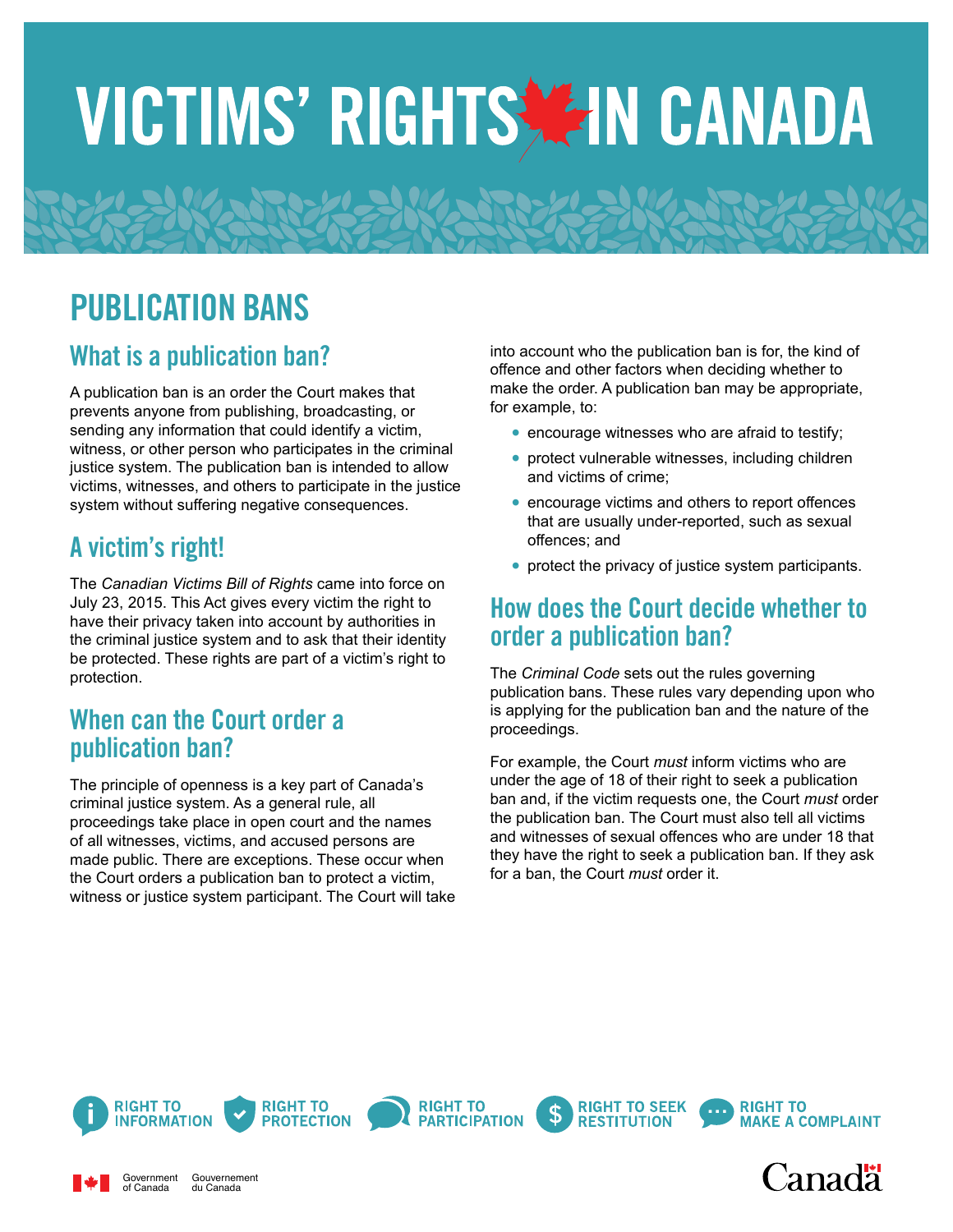# VICTIMS' RIGHTS ZIN CANADA

# PUBLICATION BANS

## What is a publication ban?

A publication ban is an order the Court makes that prevents anyone from publishing, broadcasting, or sending any information that could identify a victim, witness, or other person who participates in the criminal justice system. The publication ban is intended to allow victims, witnesses, and others to participate in the justice system without suffering negative consequences.

# A victim's right!

The *Canadian Victims Bill of Rights* came into force on July 23, 2015. This Act gives every victim the right to have their privacy taken into account by authorities in the criminal justice system and to ask that their identity be protected. These rights are part of a victim's right to protection.

#### When can the Court order a publication ban?

The principle of openness is a key part of Canada's criminal justice system. As a general rule, all proceedings take place in open court and the names of all witnesses, victims, and accused persons are made public. There are exceptions. These occur when the Court orders a publication ban to protect a victim, witness or justice system participant. The Court will take into account who the publication ban is for, the kind of offence and other factors when deciding whether to make the order. A publication ban may be appropriate, for example, to:

- **•** encourage witnesses who are afraid to testify;
- protect vulnerable witnesses, including children and victims of crime;
- **•** encourage victims and others to report offences that are usually under-reported, such as sexual offences; and
- protect the privacy of justice system participants.

#### How does the Court decide whether to order a publication ban?

The *Criminal Code* sets out the rules governing publication bans. These rules vary depending upon who is applying for the publication ban and the nature of the proceedings.

For example, the Court *must* inform victims who are under the age of 18 of their right to seek a publication ban and, if the victim requests one, the Court *must* order the publication ban. The Court must also tell all victims and witnesses of sexual offences who are under 18 that they have the right to seek a publication ban. If they ask for a ban, the Court *must* order it.

**RESTITUTION** 



Government of Canada

Gouvernement du Canada







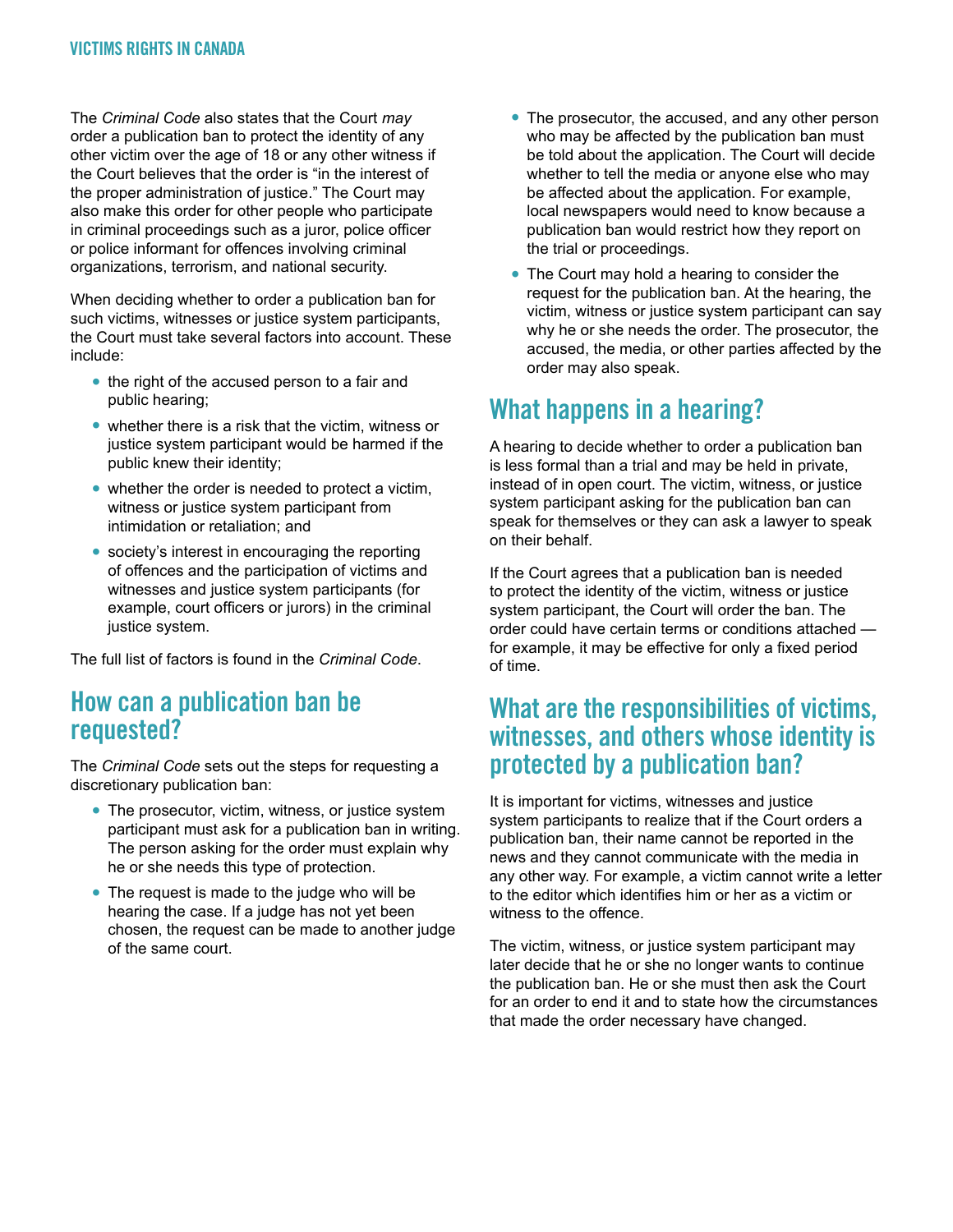The *Criminal Code* also states that the Court *may* order a publication ban to protect the identity of any other victim over the age of 18 or any other witness if the Court believes that the order is "in the interest of the proper administration of justice." The Court may also make this order for other people who participate in criminal proceedings such as a juror, police officer or police informant for offences involving criminal organizations, terrorism, and national security.

When deciding whether to order a publication ban for such victims, witnesses or justice system participants, the Court must take several factors into account. These include:

- **•** the right of the accused person to a fair and public hearing;
- **•** whether there is a risk that the victim, witness or justice system participant would be harmed if the public knew their identity;
- whether the order is needed to protect a victim, witness or justice system participant from intimidation or retaliation; and
- **•** society's interest in encouraging the reporting of offences and the participation of victims and witnesses and justice system participants (for example, court officers or jurors) in the criminal justice system.

The full list of factors is found in the *Criminal Code*.

#### How can a publication ban be requested?

The *Criminal Code* sets out the steps for requesting a discretionary publication ban:

- **•** The prosecutor, victim, witness, or justice system participant must ask for a publication ban in writing. The person asking for the order must explain why he or she needs this type of protection.
- **•** The request is made to the judge who will be hearing the case. If a judge has not yet been chosen, the request can be made to another judge of the same court.
- **•** The prosecutor, the accused, and any other person who may be affected by the publication ban must be told about the application. The Court will decide whether to tell the media or anyone else who may be affected about the application. For example, local newspapers would need to know because a publication ban would restrict how they report on the trial or proceedings.
- **•** The Court may hold a hearing to consider the request for the publication ban. At the hearing, the victim, witness or justice system participant can say why he or she needs the order. The prosecutor, the accused, the media, or other parties affected by the order may also speak.

# What happens in a hearing?

A hearing to decide whether to order a publication ban is less formal than a trial and may be held in private, instead of in open court. The victim, witness, or justice system participant asking for the publication ban can speak for themselves or they can ask a lawyer to speak on their behalf.

If the Court agrees that a publication ban is needed to protect the identity of the victim, witness or justice system participant, the Court will order the ban. The order could have certain terms or conditions attached for example, it may be effective for only a fixed period of time.

#### What are the responsibilities of victims, witnesses, and others whose identity is protected by a publication ban?

It is important for victims, witnesses and justice system participants to realize that if the Court orders a publication ban, their name cannot be reported in the news and they cannot communicate with the media in any other way. For example, a victim cannot write a letter to the editor which identifies him or her as a victim or witness to the offence.

The victim, witness, or justice system participant may later decide that he or she no longer wants to continue the publication ban. He or she must then ask the Court for an order to end it and to state how the circumstances that made the order necessary have changed.